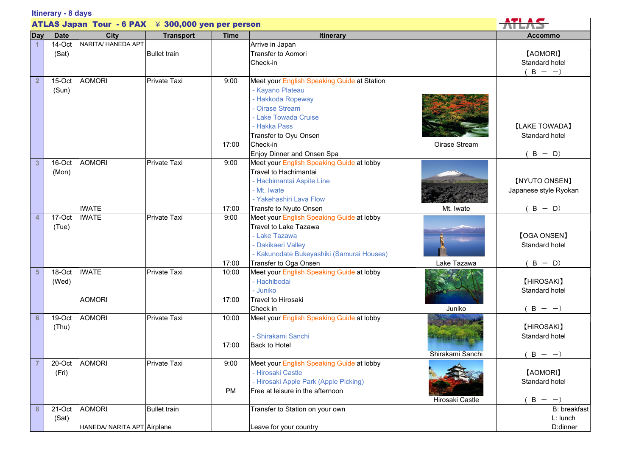| Itinerary - 8 days                                      |                 |                                              |                     |                   |                                                                                                                                                                                                                                     |                                                   |
|---------------------------------------------------------|-----------------|----------------------------------------------|---------------------|-------------------|-------------------------------------------------------------------------------------------------------------------------------------------------------------------------------------------------------------------------------------|---------------------------------------------------|
| ATLAS Japan Tour $-6$ PAX $\neq$ 300,000 yen per person |                 |                                              |                     |                   |                                                                                                                                                                                                                                     |                                                   |
| Day                                                     | <b>Date</b>     | <b>City</b>                                  | <b>Transport</b>    | <b>Time</b>       | <b>Itinerary</b>                                                                                                                                                                                                                    | Accommo                                           |
|                                                         | 14-Oct<br>(Sat) | NARITA/ HANEDA APT                           | <b>Bullet train</b> |                   | Arrive in Japan<br><b>Transfer to Aomori</b><br>Check-in                                                                                                                                                                            | [AOMORI]<br>Standard hotel<br>$B - -$             |
| $\overline{2}$                                          | 15-Oct<br>(Sun) | <b>AOMORI</b>                                | Private Taxi        | 9:00<br>17:00     | Meet your English Speaking Guide at Station<br>- Kayano Plateau<br>- Hakkoda Ropeway<br>- Oirase Stream<br>- Lake Towada Cruise<br>- Hakka Pass<br>Transfer to Oyu Onsen<br>Check-in<br>Oirase Stream<br>Enjoy Dinner and Onsen Spa | <b>[LAKE TOWADA]</b><br>Standard hotel<br>$B - D$ |
| $\mathbf{3}$                                            | 16-Oct<br>(Mon) | <b>AOMORI</b><br><b>IWATE</b>                | Private Taxi        | 9:00<br>17:00     | Meet your English Speaking Guide at lobby<br>Travel to Hachimantai<br>- Hachimantai Aspite Line<br>- Mt. Iwate<br>- Yakehashiri Lava Flow<br>Transfe to Nyuto Onsen<br>Mt. Iwate                                                    | [NYUTO ONSEN]<br>Japanese style Ryokan<br>$B - D$ |
| 4                                                       | 17-Oct<br>(Tue) | <b>IWATE</b>                                 | Private Taxi        | 9:00<br>17:00     | Meet your English Speaking Guide at lobby<br>Travel to Lake Tazawa<br>- Lake Tazawa<br>- Dakikaeri Valley<br>- Kakunodate Bukeyashiki (Samurai Houses)<br>Transfer to Oga Onsen<br>Lake Tazawa                                      | [OGA ONSEN]<br>Standard hotel<br>$B - D$          |
| $5\phantom{1}$                                          | 18-Oct<br>(Wed) | <b>IWATE</b><br><b>AOMORI</b>                | Private Taxi        | 10:00<br>17:00    | Meet your English Speaking Guide at lobby<br>- Hachibodai<br>- Juniko<br><b>Travel to Hirosaki</b><br>Juniko<br>Check in                                                                                                            | [HIROSAKI]<br>Standard hotel<br>$B - -$           |
| 6                                                       | 19-Oct<br>(Thu) | <b>AOMORI</b>                                | Private Taxi        | 10:00<br>17:00    | Meet your English Speaking Guide at lobby<br>- Shirakami Sanchi<br>Back to Hotel<br>Shirakami Sanchi                                                                                                                                | [HIROSAKI]<br>Standard hotel<br>$B - -$           |
|                                                         | 20-Oct<br>(Fri) | <b>AOMORI</b>                                | Private Taxi        | 9:00<br><b>PM</b> | Meet your English Speaking Guide at lobby<br>- Hirosaki Castle<br>- Hirosaki Apple Park (Apple Picking)<br>Free at leisure in the afternoon<br>Hirosaki Castle                                                                      | [AOMORI]<br>Standard hotel<br>$B - -$             |
| 8                                                       | 21-Oct<br>(Sat) | <b>AOMORI</b><br>HANEDA/ NARITA APT Airplane | <b>Bullet train</b> |                   | Transfer to Station on your own<br>Leave for your country                                                                                                                                                                           | B: breakfast<br>L: lunch<br>D:dinner              |